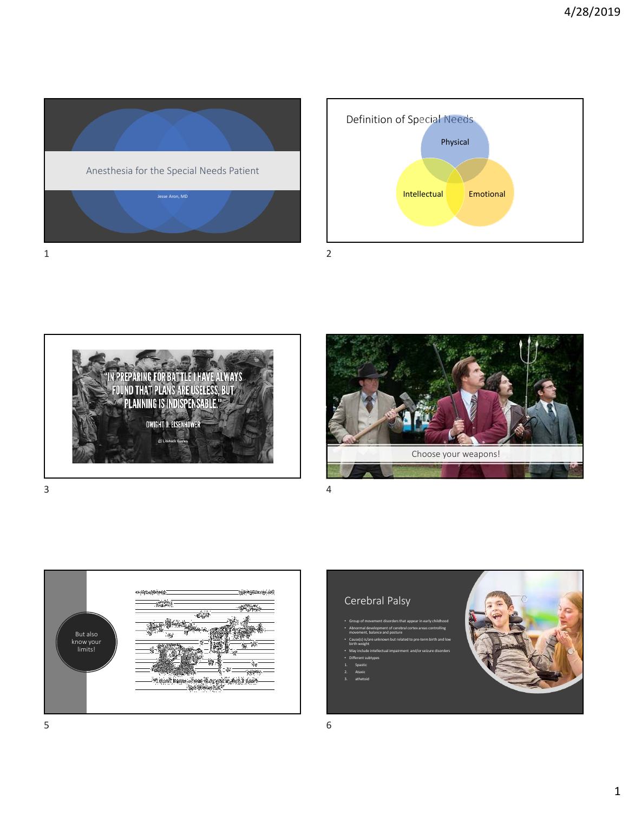









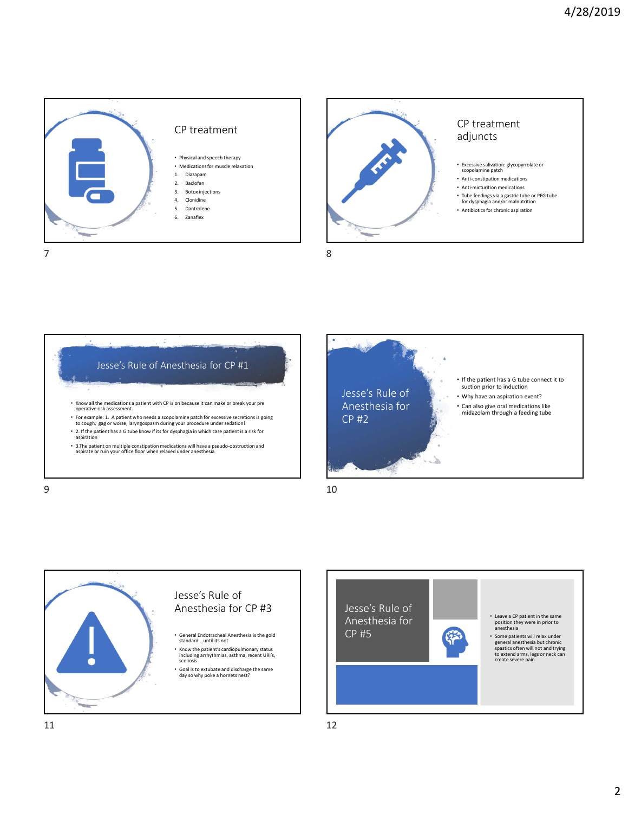









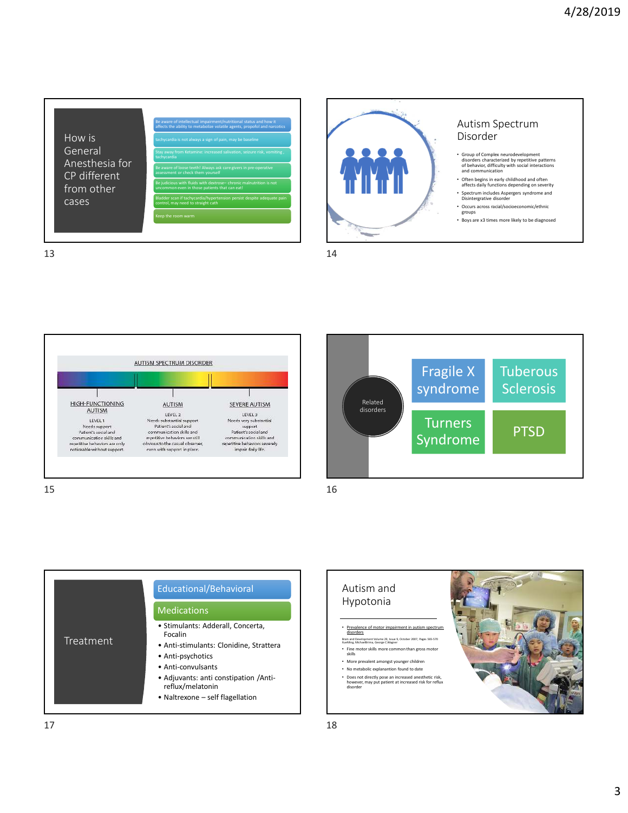



 $13$  and  $14$ 







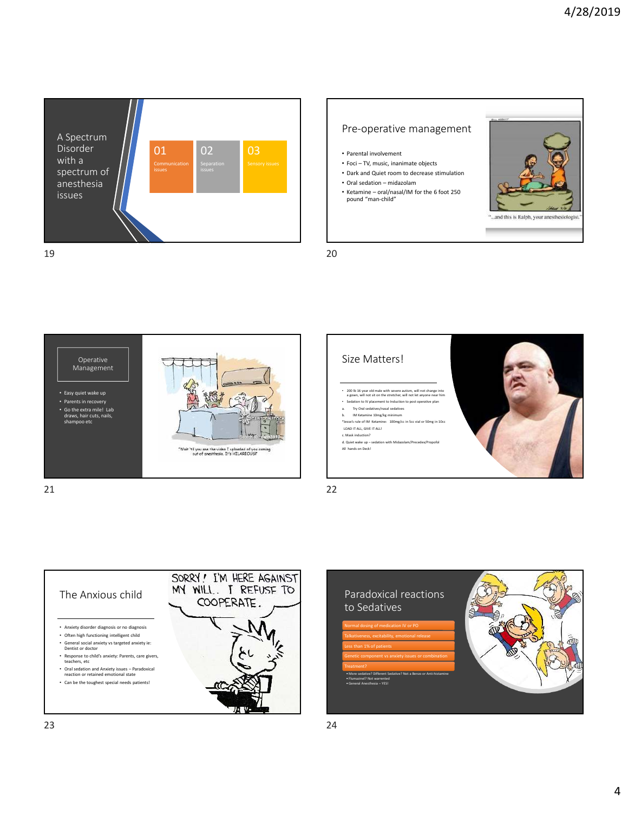

## Pre-operative management

- Parental involvement
- Foci TV, music, inanimate objects
- Dark and Quiet room to decrease stimulation
- Oral sedation midazolam
- Ketamine oral/nasal/IM for the 6 foot 250 pound "man-child"